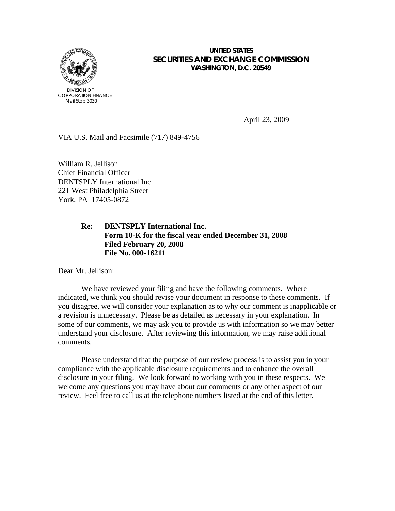

## **UNITED STATES SECURITIES AND EXCHANGE COMMISSION WASHINGTON, D.C. 20549**

April 23, 2009

## VIA U.S. Mail and Facsimile (717) 849-4756

William R. Jellison Chief Financial Officer DENTSPLY International Inc. 221 West Philadelphia Street York, PA 17405-0872

# **Re: DENTSPLY International Inc. Form 10-K for the fiscal year ended December 31, 2008 Filed February 20, 2008 File No. 000-16211**

Dear Mr. Jellison:

We have reviewed your filing and have the following comments. Where indicated, we think you should revise your document in response to these comments. If you disagree, we will consider your explanation as to why our comment is inapplicable or a revision is unnecessary. Please be as detailed as necessary in your explanation. In some of our comments, we may ask you to provide us with information so we may better understand your disclosure. After reviewing this information, we may raise additional comments.

 Please understand that the purpose of our review process is to assist you in your compliance with the applicable disclosure requirements and to enhance the overall disclosure in your filing. We look forward to working with you in these respects. We welcome any questions you may have about our comments or any other aspect of our review. Feel free to call us at the telephone numbers listed at the end of this letter.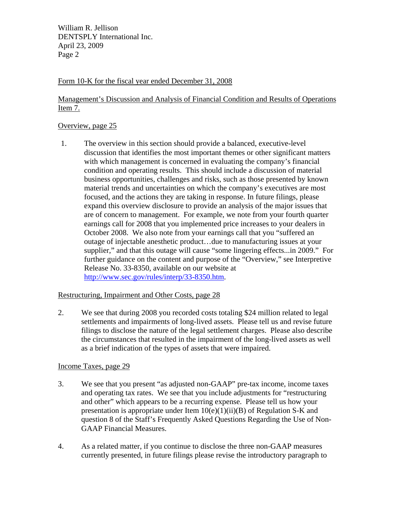## Form 10-K for the fiscal year ended December 31, 2008

# Management's Discussion and Analysis of Financial Condition and Results of Operations Item 7.

### Overview, page 25

1. The overview in this section should provide a balanced, executive-level discussion that identifies the most important themes or other significant matters with which management is concerned in evaluating the company's financial condition and operating results. This should include a discussion of material business opportunities, challenges and risks, such as those presented by known material trends and uncertainties on which the company's executives are most focused, and the actions they are taking in response. In future filings, please expand this overview disclosure to provide an analysis of the major issues that are of concern to management. For example, we note from your fourth quarter earnings call for 2008 that you implemented price increases to your dealers in October 2008. We also note from your earnings call that you "suffered an outage of injectable anesthetic product…due to manufacturing issues at your supplier," and that this outage will cause "some lingering effects...in 2009." For further guidance on the content and purpose of the "Overview," see Interpretive Release No. 33-8350, available on our website at [http://www.sec.gov/rules/interp/33-8350.htm.](http://www.sec.gov/rules/interp/33-8350.htm)

## Restructuring, Impairment and Other Costs, page 28

2. We see that during 2008 you recorded costs totaling \$24 million related to legal settlements and impairments of long-lived assets. Please tell us and revise future filings to disclose the nature of the legal settlement charges. Please also describe the circumstances that resulted in the impairment of the long-lived assets as well as a brief indication of the types of assets that were impaired.

## Income Taxes, page 29

- 3. We see that you present "as adjusted non-GAAP" pre-tax income, income taxes and operating tax rates. We see that you include adjustments for "restructuring and other" which appears to be a recurring expense. Please tell us how your presentation is appropriate under Item  $10(e)(1)(ii)(B)$  of Regulation S-K and question 8 of the Staff's Frequently Asked Questions Regarding the Use of Non-GAAP Financial Measures.
- 4. As a related matter, if you continue to disclose the three non-GAAP measures currently presented, in future filings please revise the introductory paragraph to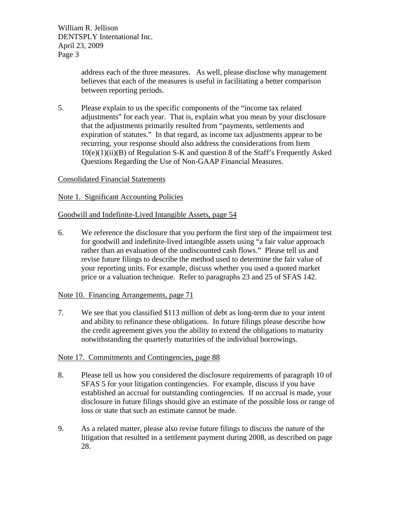> address each of the three measures. As well, please disclose why management believes that each of the measures is useful in facilitating a better comparison between reporting periods.

5. Please explain to us the specific components of the "income tax related adjustments" for each year. That is, explain what you mean by your disclosure that the adjustments primarily resulted from "payments, settlements and expiration of statutes." In that regard, as income tax adjustments appear to be recurring, your response should also address the considerations from Item  $10(e)(1)(ii)(B)$  of Regulation S-K and question 8 of the Staff's Frequently Asked Questions Regarding the Use of Non-GAAP Financial Measures.

# Consolidated Financial Statements

## Note 1. Significant Accounting Policies

## Goodwill and Indefinite-Lived Intangible Assets, page 54

6. We reference the disclosure that you perform the first step of the impairment test for goodwill and indefinite-lived intangible assets using "a fair value approach rather than an evaluation of the undiscounted cash flows." Please tell us and revise future filings to describe the method used to determine the fair value of your reporting units. For example, discuss whether you used a quoted market price or a valuation technique. Refer to paragraphs 23 and 25 of SFAS 142.

## Note 10. Financing Arrangements, page 71

7. We see that you classified \$113 million of debt as long-term due to your intent and ability to refinance these obligations. In future filings please describe how the credit agreement gives you the ability to extend the obligations to maturity notwithstanding the quarterly maturities of the individual borrowings.

## Note 17. Commitments and Contingencies, page 88

- 8. Please tell us how you considered the disclosure requirements of paragraph 10 of SFAS 5 for your litigation contingencies. For example, discuss if you have established an accrual for outstanding contingencies. If no accrual is made, your disclosure in future filings should give an estimate of the possible loss or range of loss or state that such an estimate cannot be made.
- 9. As a related matter, please also revise future filings to discuss the nature of the litigation that resulted in a settlement payment during 2008, as described on page 28.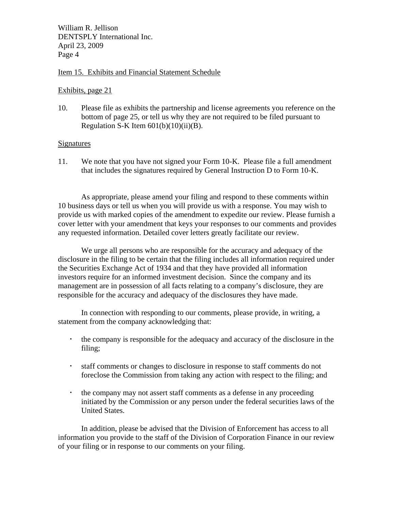### Item 15. Exhibits and Financial Statement Schedule

#### Exhibits, page 21

10. Please file as exhibits the partnership and license agreements you reference on the bottom of page 25, or tell us why they are not required to be filed pursuant to Regulation S-K Item  $601(b)(10)(ii)(B)$ .

#### **Signatures**

11. We note that you have not signed your Form 10-K. Please file a full amendment that includes the signatures required by General Instruction D to Form 10-K.

 As appropriate, please amend your filing and respond to these comments within 10 business days or tell us when you will provide us with a response. You may wish to provide us with marked copies of the amendment to expedite our review. Please furnish a cover letter with your amendment that keys your responses to our comments and provides any requested information. Detailed cover letters greatly facilitate our review.

 We urge all persons who are responsible for the accuracy and adequacy of the disclosure in the filing to be certain that the filing includes all information required under the Securities Exchange Act of 1934 and that they have provided all information investors require for an informed investment decision. Since the company and its management are in possession of all facts relating to a company's disclosure, they are responsible for the accuracy and adequacy of the disclosures they have made.

 In connection with responding to our comments, please provide, in writing, a statement from the company acknowledging that:

- the company is responsible for the adequacy and accuracy of the disclosure in the filing;
- staff comments or changes to disclosure in response to staff comments do not foreclose the Commission from taking any action with respect to the filing; and
- the company may not assert staff comments as a defense in any proceeding initiated by the Commission or any person under the federal securities laws of the United States.

In addition, please be advised that the Division of Enforcement has access to all information you provide to the staff of the Division of Corporation Finance in our review of your filing or in response to our comments on your filing.